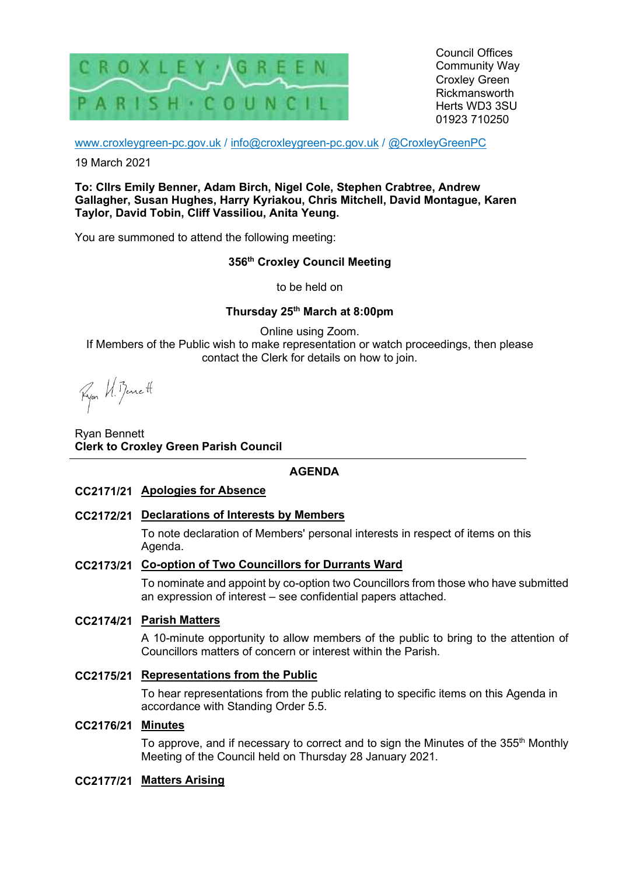

Council Offices Community Way Croxley Green Rickmansworth Herts WD3 3SU 01923 710250

www.croxleygreen-pc.gov.uk / info@croxleygreen-pc.gov.uk / @CroxleyGreenPC

19 March 2021

**To: Cllrs Emily Benner, Adam Birch, Nigel Cole, Stephen Crabtree, Andrew Gallagher, Susan Hughes, Harry Kyriakou, Chris Mitchell, David Montague, Karen Taylor, David Tobin, Cliff Vassiliou, Anita Yeung.** 

You are summoned to attend the following meeting:

### **356th Croxley Council Meeting**

to be held on

# **Thursday 25th March at 8:00pm**

Online using Zoom. If Members of the Public wish to make representation or watch proceedings, then please contact the Clerk for details on how to join.

Ryon U. Benett

Ryan Bennett **Clerk to Croxley Green Parish Council** 

### **AGENDA**

- **CC2171/21 Apologies for Absence**
- **CC2172/21 Declarations of Interests by Members**

To note declaration of Members' personal interests in respect of items on this Agenda.

### **CC2173/21 Co-option of Two Councillors for Durrants Ward**

To nominate and appoint by co-option two Councillors from those who have submitted an expression of interest – see confidential papers attached.

### **CC2174/21 Parish Matters**

A 10-minute opportunity to allow members of the public to bring to the attention of Councillors matters of concern or interest within the Parish.

### **CC2175/21 Representations from the Public**

To hear representations from the public relating to specific items on this Agenda in accordance with Standing Order 5.5.

### **CC2176/21 Minutes**

To approve, and if necessary to correct and to sign the Minutes of the  $355<sup>th</sup>$  Monthly Meeting of the Council held on Thursday 28 January 2021.

#### **CC2177/21 Matters Arising**